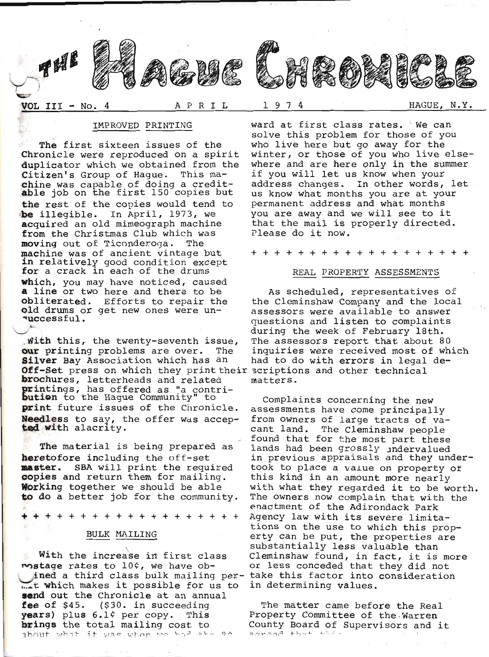

The first sixteen issues of the<br>Chronicle were reproduced on a spirit<br>duplicator which we obtained from the<br>Citizen's Group of Hague. This ma-<br>chine was capable of doing a credit-<br>able job on the first 150 copies but<br>the r be illegible. In April, 1973, we<br>acquired an old mimeograph machine<br>from the Christmas Club which was<br>moving out of Ticonderoga. The<br>machine was of ancient vintage but<br>in relatively good condition except<br>for a crack in eac which, you may have noticed, caused<br>**a** line or two here and there to be obliterated. Efforts to repair the old drums or get new ones were un-<br>**queedsful.**  $\frac{1}{\sqrt{2\pi}}$ 

Mith this, the twenty-seventh issue, The assessors report that about<br>
our printing problems are over. The inquiries were received most of<br>
Silver Bay Association which has an and to do with errors in legal<br>
Off-Set press o printings, has offered as "a contri-<br>bution to the Hague Community" to<br>print future issues of the Chronicle. Needless to say, the offer was accep-<br>ted with alacrity.

The material is being prepared as<br> **master.** SBA will print the required<br>
copies and return them for mailing.<br>
Working together we should be able<br>
to do a better job for the community.

+++++++++++++++++++

### BULK MAILING

. With the increase in first class mostage rates to  $10¢$ , we have obined a third class bulk mailing per-<br>"it which makes it possible for us to<br>send out the Chronicle at an annual<br>fee of \$45. (\$30. in succeeding<br>years) plus 6.1¢ per copy. This<br>brings the total mailing cost to about what it was when we had the 26

WEROVED PRINTING ward at first class rates. We can<br>solve this problem for those of you<br>sixteen issues of the who live here but go away for the<br>re reproduced on a spirit winter, or those of you who live else-<br>nich we obtain address changes. In other words, let<br>us know what months you are at your<br>permanent address and what months<br>you are away and we will see to it that the mail is properly directed.<br>Please do it now.

+++++++++++++++++++

### REAL PROPERTY ASSESSMENTS

As scheduled, representatives of<br>the Cleminshaw Company and the local<br>assessors were available to answer questions and listen to complaints<br>during the week of February l8th.<br>The assessors report that about 80<br>inquiries were received most of which had to do with errors in legal de-<br>scriptions and other technical<br>matters.

Complaints concerning the new<br>assessments have come principally<br>from owners of large tracts of va-<br>cant land. The Cleminshaw people<br>found that for the most part these<br>lands had been groossly under-<br>took to place a value on

The matter came before the Real<br>Property Committee of the Warren<br>County Board of Supervisors and it<br>:rreed that this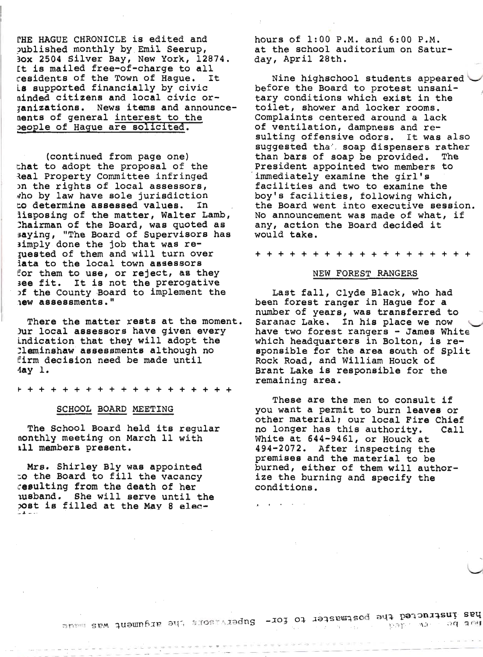THE HAGUE CHRONICLE is edited and published monthly by Emil Seerup, 30x 2504 Silver Bay, New York, 12874. It is mailed free-of-charge to all residents of the Town of Hague. It is supported financially by civic ninded citizens and local civic orjanizations. News items and announcenents of general interest to the people of Hague are solicited.

(continued from page one) that to adopt the proposal of the Real Property Committee infringed on the rights of local assessors, who by law have sole jurisdiction to determine assessed values. In iisposing of the matter, Walter Lamb, Chairman of the Board, was quoted as saying, "The Board of Supervisors has simply done the job that was requested of them and will turn over iata to the local town assessors for them to use, or reject, as they see fit. It is not the prerogative of the County Board to implement the new assessments."

There the matter rests at the moment. Jur local assessors have given every indication that they will adopt the lleminshaw assessments although no firm decision need be made until  $4ay$  1.

# SCHOOL BOARD MEETING

The School Board held its regular nonthly meeting on March 11 with all members present.

Mrs. Shirley Bly was appointed to the Board to fill the vacancy cesulting from the death of her usband. She will serve until the bost is filled at the May 8 elechours of 1:00 P.M. and 6:00 P.M. at the school auditorium on Saturday, April 28th.

Nine highschool students appeared before the Board to protest unsanitary conditions which exist in the toilet, shower and locker rooms. Complaints centered around a lack of ventilation, dampness and resulting offensive odors. It was also suggested that soap dispensers rather than bars of soap be provided. The President appointed two members to immediately examine the girl's facilities and two to examine the boy's facilities, following which, the Board went into executive session. No announcement was made of what, if any, action the Board decided it would take.

**+++++** 

### NEW FOREST RANGERS

Last fall, Clyde Black, who had been forest ranger in Haque for a number of years, was transferred to Saranac Lake. In his place we now have two forest rangers - James White which headquarters in Bolton, is responsible for the area south of Split Rock Road, and William Houck of Brant Lake is responsible for the remaining area.

These are the men to consult if you want a permit to burn leaves or other material; our local Fire Chief no longer has this authority. Call White at 644-9461, or Houck at 494-2072. After inspecting the premises and the material to be burned, either of them will authorize the burning and specify the conditions.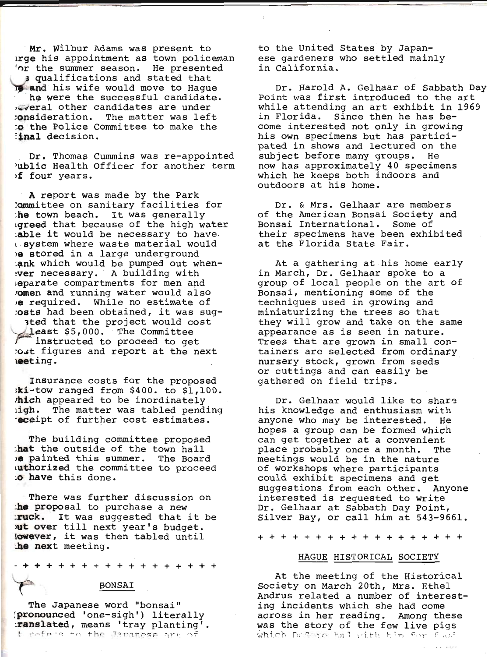Mr. Wilbur Adams was present to rreque his appointment as town policemant 'nr the summer season. He presented<br>, s qualifications and stated that  $\frac{1}{\sqrt{2}}$  and his wife would move to Hague ' he were the successful candidate. x-veral other candidates are under : onsideration. The matter was left to the Police Committee to make the :<br>iinal decision.

Dr. Thomas Cummins was re-appointed 'ublic Health Officer for another term If four years.

A report was made by the Park<br>
lommittee on sanitary facilities for<br>
:he town beach. It was generally<br>
igreed that because of the high water<br>
:able it would be necessary to have. r system where waste material would<br>
ie stored in a large underground<br>
: nk which would be pumped out when-<br>
: ver necessary. A building with separate compartments for men and<br>omen and running water would also out required. While no estimate of<br>:osts had been obtained, it was sug-<br>ted that the project would cost

Least \$5,000. The Committee<br>:ost figures and report at the next<br>:eting.

Insurance costs for the proposed ;ki-tow ranged from \$400. to \$1,100. .'hich appeared to be inordinately righ. The matter was tabled pending :eceipt of further cost estimates.

The building committee proposed<br>
-**hat** the outside of the town hall<br>  $\epsilon$  painted this summer. The Board uthorized the committee to proceed :o have this done.

There was further discussion on :he proposal to purchase a new :ruck. It was suggested that it be )ut over till next year's budget. Iowever, it was then tabled until :he next meeting.

++++++++++++++++ -+  $\rightarrow$ 

#### BONSAI

The Japanese word "bonsai"<br>(pronounced 'one-sigh') literally :ranslated, means 'tray planting'.<br>the Japanese art of

to the United States by Japanese gardeners who settled mainly<br>in California.

Dr. Harold A. Gelhaar of Sabbath Day<br>Point was first introduced to the art<br>while attending an art exhibit in 1969<br>in Florida. Since then he has become interested not only in growing his own specimens but has partici- pated in shows and lectured on the subject before many groups. He now has approximately 40 specimens which he keeps both indoors and outdoors at his home.

Dr. & Mrs. Gelhaar are members of the American Bonsai Society and Bonsai International. Some of their specimens have been exhibited at the Florida State Fair.

At a gathering at his home early<br>in March, Dr. Gelhaar spoke to a<br>group of local people on the art of Bonsai, mentioning some of the<br>techniques used in growing and miniaturizing the trees so that<br>they will grow and take on the same<br>appearance as is seen in nature. Trees that are grown in small con-<br>tainers are selected from ordinary<br>nursery stock, grown from seeds or cuttings and can easily be gathered on field trips.

Dr. Gelhaar would like to share his knowledge and enthusiasm with anyone who may be interested. He hopes a group can be formed which<br>can get together at a convenient place probably once a month. The<br>meetings would be in the nature<br>of workshops where participants<br>could exhibit specimens and get<br>suggestions from each other. Anyone<br>interested is requested to write<br>Dr. Gelhaar at Sabbath D

++++++++++++++++++

#### HAGUE HISTORICAL SOCIETY

At the meeting of the Historical<br>Society on March 20th, Mrs. Ethel Andrus related a number of interest- ing incidents which she had come across in her reading. &nong these was the story of the few live pigs<br>which Deficie halvith him for food